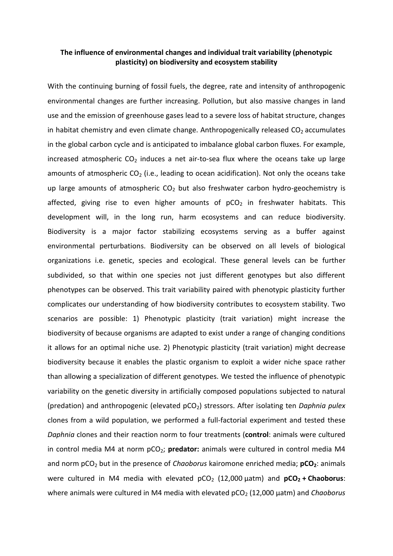## **The influence of environmental changes and individual trait variability (phenotypic plasticity) on biodiversity and ecosystem stability**

With the continuing burning of fossil fuels, the degree, rate and intensity of anthropogenic environmental changes are further increasing. Pollution, but also massive changes in land use and the emission of greenhouse gases lead to a severe loss of habitat structure, changes in habitat chemistry and even climate change. Anthropogenically released  $CO<sub>2</sub>$  accumulates in the global carbon cycle and is anticipated to imbalance global carbon fluxes. For example, increased atmospheric  $CO<sub>2</sub>$  induces a net air-to-sea flux where the oceans take up large amounts of atmospheric  $CO<sub>2</sub>$  (i.e., leading to ocean acidification). Not only the oceans take up large amounts of atmospheric  $CO<sub>2</sub>$  but also freshwater carbon hydro-geochemistry is affected, giving rise to even higher amounts of  $pCO<sub>2</sub>$  in freshwater habitats. This development will, in the long run, harm ecosystems and can reduce biodiversity. Biodiversity is a major factor stabilizing ecosystems serving as a buffer against environmental perturbations. Biodiversity can be observed on all levels of biological organizations i.e. genetic, species and ecological. These general levels can be further subdivided, so that within one species not just different genotypes but also different phenotypes can be observed. This trait variability paired with phenotypic plasticity further complicates our understanding of how biodiversity contributes to ecosystem stability. Two scenarios are possible: 1) Phenotypic plasticity (trait variation) might increase the biodiversity of because organisms are adapted to exist under a range of changing conditions it allows for an optimal niche use. 2) Phenotypic plasticity (trait variation) might decrease biodiversity because it enables the plastic organism to exploit a wider niche space rather than allowing a specialization of different genotypes. We tested the influence of phenotypic variability on the genetic diversity in artificially composed populations subjected to natural (predation) and anthropogenic (elevated pCO<sub>2</sub>) stressors. After isolating ten *Daphnia pulex* clones from a wild population, we performed a full-factorial experiment and tested these *Daphnia* clones and their reaction norm to four treatments (**control**: animals were cultured in control media M4 at norm pCO<sub>2</sub>; predator: animals were cultured in control media M4 and norm pCO<sub>2</sub> but in the presence of *Chaoborus* kairomone enriched media; **pCO<sub>2</sub>**: animals were cultured in M4 media with elevated  $pCO<sub>2</sub>$  (12,000  $\mu$ atm) and  $pCO<sub>2</sub> + Chaoborus$ : where animals were cultured in M4 media with elevated pCO<sub>2</sub> (12,000 µatm) and *Chaoborus*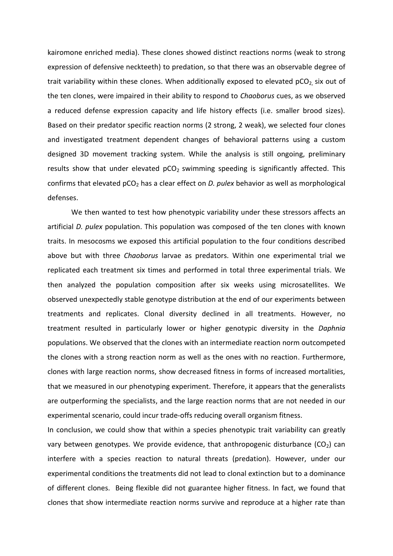kairomone enriched media). These clones showed distinct reactions norms (weak to strong expression of defensive neckteeth) to predation, so that there was an observable degree of trait variability within these clones. When additionally exposed to elevated  $pCO<sub>2</sub>$  six out of the ten clones, were impaired in their ability to respond to *Chaoborus* cues, as we observed a reduced defense expression capacity and life history effects (i.e. smaller brood sizes). Based on their predator specific reaction norms (2 strong, 2 weak), we selected four clones and investigated treatment dependent changes of behavioral patterns using a custom designed 3D movement tracking system. While the analysis is still ongoing, preliminary results show that under elevated  $pCO<sub>2</sub>$  swimming speeding is significantly affected. This confirms that elevated pCO<sub>2</sub> has a clear effect on *D. pulex* behavior as well as morphological defenses.

We then wanted to test how phenotypic variability under these stressors affects an artificial *D. pulex* population. This population was composed of the ten clones with known traits. In mesocosms we exposed this artificial population to the four conditions described above but with three *Chaoborus* larvae as predators. Within one experimental trial we replicated each treatment six times and performed in total three experimental trials. We then analyzed the population composition after six weeks using microsatellites. We observed unexpectedly stable genotype distribution at the end of our experiments between treatments and replicates. Clonal diversity declined in all treatments. However, no treatment resulted in particularly lower or higher genotypic diversity in the *Daphnia* populations. We observed that the clones with an intermediate reaction norm outcompeted the clones with a strong reaction norm as well as the ones with no reaction. Furthermore, clones with large reaction norms, show decreased fitness in forms of increased mortalities, that we measured in our phenotyping experiment. Therefore, it appears that the generalists are outperforming the specialists, and the large reaction norms that are not needed in our experimental scenario, could incur trade-offs reducing overall organism fitness.

In conclusion, we could show that within a species phenotypic trait variability can greatly vary between genotypes. We provide evidence, that anthropogenic disturbance  $(CO<sub>2</sub>)$  can interfere with a species reaction to natural threats (predation). However, under our experimental conditions the treatments did not lead to clonal extinction but to a dominance of different clones. Being flexible did not guarantee higher fitness. In fact, we found that clones that show intermediate reaction norms survive and reproduce at a higher rate than